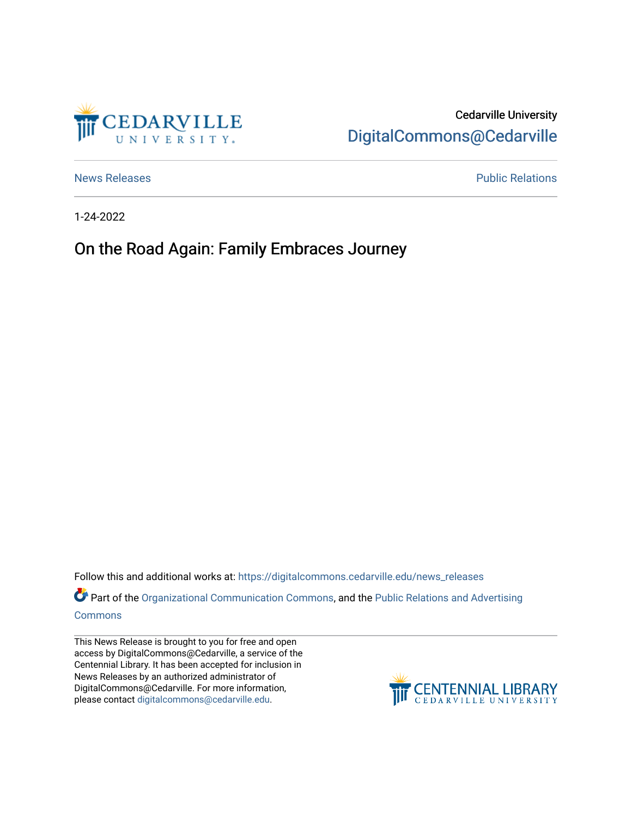

## Cedarville University [DigitalCommons@Cedarville](https://digitalcommons.cedarville.edu/)

[News Releases](https://digitalcommons.cedarville.edu/news_releases) **Public Relations Public Relations** 

1-24-2022

## On the Road Again: Family Embraces Journey

Follow this and additional works at: [https://digitalcommons.cedarville.edu/news\\_releases](https://digitalcommons.cedarville.edu/news_releases?utm_source=digitalcommons.cedarville.edu%2Fnews_releases%2F1484&utm_medium=PDF&utm_campaign=PDFCoverPages) 

Part of the [Organizational Communication Commons](http://network.bepress.com/hgg/discipline/335?utm_source=digitalcommons.cedarville.edu%2Fnews_releases%2F1484&utm_medium=PDF&utm_campaign=PDFCoverPages), and the Public Relations and Advertising [Commons](http://network.bepress.com/hgg/discipline/336?utm_source=digitalcommons.cedarville.edu%2Fnews_releases%2F1484&utm_medium=PDF&utm_campaign=PDFCoverPages)

This News Release is brought to you for free and open access by DigitalCommons@Cedarville, a service of the Centennial Library. It has been accepted for inclusion in News Releases by an authorized administrator of DigitalCommons@Cedarville. For more information, please contact [digitalcommons@cedarville.edu](mailto:digitalcommons@cedarville.edu).

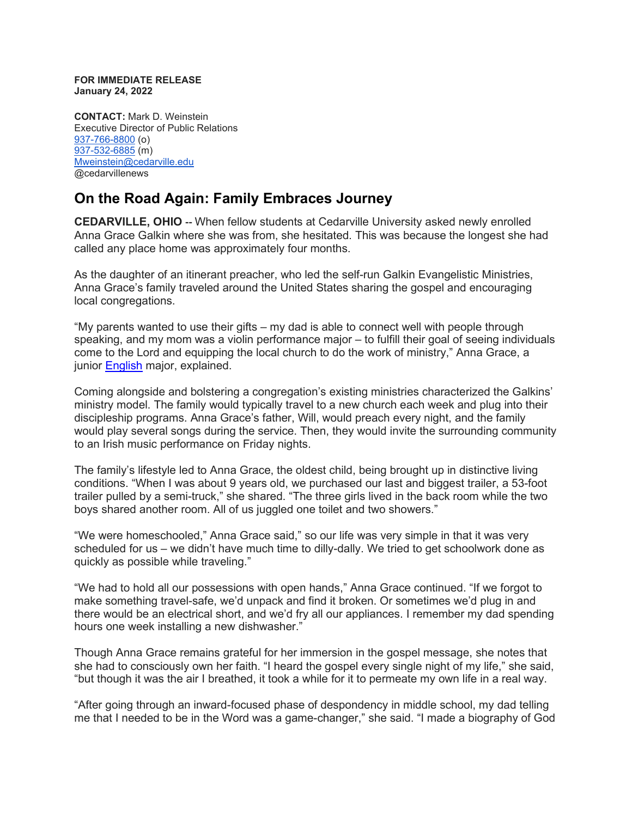**FOR IMMEDIATE RELEASE January 24, 2022**

**CONTACT:** Mark D. Weinstein Executive Director of Public Relations [937-766-8800](tel:937-766-8800) (o) [937-532-6885](tel:937-532-6885) (m) [Mweinstein@cedarville.edu](mailto:Mweinstein@cedarville.edu) @cedarvillenews

## **On the Road Again: Family Embraces Journey**

**CEDARVILLE, OHIO --** When fellow students at Cedarville University asked newly enrolled Anna Grace Galkin where she was from, she hesitated. This was because the longest she had called any place home was approximately four months.

As the daughter of an itinerant preacher, who led the self-run Galkin Evangelistic Ministries, Anna Grace's family traveled around the United States sharing the gospel and encouraging local congregations.

"My parents wanted to use their gifts – my dad is able to connect well with people through speaking, and my mom was a violin performance major – to fulfill their goal of seeing individuals come to the Lord and equipping the local church to do the work of ministry," Anna Grace, a junior [English](https://www.cedarville.edu/academic-schools-and-departments/english-literature-modern-languages) major, explained.

Coming alongside and bolstering a congregation's existing ministries characterized the Galkins' ministry model. The family would typically travel to a new church each week and plug into their discipleship programs. Anna Grace's father, Will, would preach every night, and the family would play several songs during the service. Then, they would invite the surrounding community to an Irish music performance on Friday nights.

The family's lifestyle led to Anna Grace, the oldest child, being brought up in distinctive living conditions. "When I was about 9 years old, we purchased our last and biggest trailer, a 53-foot trailer pulled by a semi-truck," she shared. "The three girls lived in the back room while the two boys shared another room. All of us juggled one toilet and two showers."

"We were homeschooled," Anna Grace said," so our life was very simple in that it was very scheduled for us – we didn't have much time to dilly-dally. We tried to get schoolwork done as quickly as possible while traveling."

"We had to hold all our possessions with open hands," Anna Grace continued. "If we forgot to make something travel-safe, we'd unpack and find it broken. Or sometimes we'd plug in and there would be an electrical short, and we'd fry all our appliances. I remember my dad spending hours one week installing a new dishwasher."

Though Anna Grace remains grateful for her immersion in the gospel message, she notes that she had to consciously own her faith. "I heard the gospel every single night of my life," she said, "but though it was the air I breathed, it took a while for it to permeate my own life in a real way.

"After going through an inward-focused phase of despondency in middle school, my dad telling me that I needed to be in the Word was a game-changer," she said. "I made a biography of God